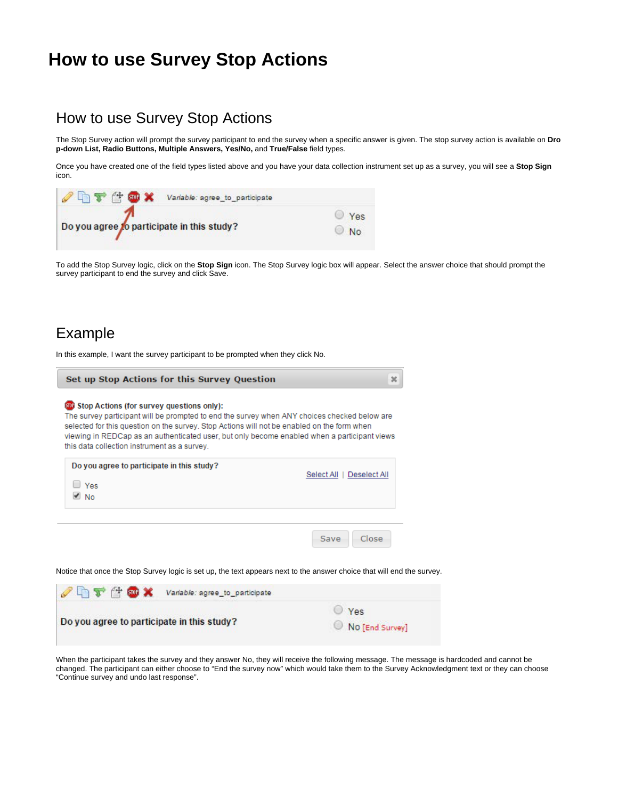## **How to use Survey Stop Actions**

## How to use Survey Stop Actions

The Stop Survey action will prompt the survey participant to end the survey when a specific answer is given. The stop survey action is available on **Dro p-down List, Radio Buttons, Multiple Answers, Yes/No,** and **True/False** field types.

Once you have created one of the field types listed above and you have your data collection instrument set up as a survey, you will see a **Stop Sign** icon.

| <sup>2</sup> ht tox<br>Variable: agree_to_participate |            |
|-------------------------------------------------------|------------|
| Do you agree to participate in this study?            | Yes<br>No. |

To add the Stop Survey logic, click on the **Stop Sign** icon. The Stop Survey logic box will appear. Select the answer choice that should prompt the survey participant to end the survey and click Save.

## Example

In this example, I want the survey participant to be prompted when they click No.

| Set up Stop Actions for this Survey Question                                                                                                                                                                                                                                                                                                                                             |                           |
|------------------------------------------------------------------------------------------------------------------------------------------------------------------------------------------------------------------------------------------------------------------------------------------------------------------------------------------------------------------------------------------|---------------------------|
| Stop Actions (for survey questions only):<br>The survey participant will be prompted to end the survey when ANY choices checked below are<br>selected for this question on the survey. Stop Actions will not be enabled on the form when<br>viewing in REDCap as an authenticated user, but only become enabled when a participant views<br>this data collection instrument as a survey. |                           |
| Do you agree to participate in this study?<br>Yes<br><b>No</b>                                                                                                                                                                                                                                                                                                                           | Select All   Deselect All |
|                                                                                                                                                                                                                                                                                                                                                                                          | Close<br>Save             |

Notice that once the Stop Survey logic is set up, the text appears next to the answer choice that will end the survey.

| $257$ and $x$                              | Variable: agree_to_participate |                               |
|--------------------------------------------|--------------------------------|-------------------------------|
| Do you agree to participate in this study? |                                | $\vee$ Yes<br>No [End Survey] |

When the participant takes the survey and they answer No, they will receive the following message. The message is hardcoded and cannot be changed. The participant can either choose to "End the survey now" which would take them to the Survey Acknowledgment text or they can choose "Continue survey and undo last response".